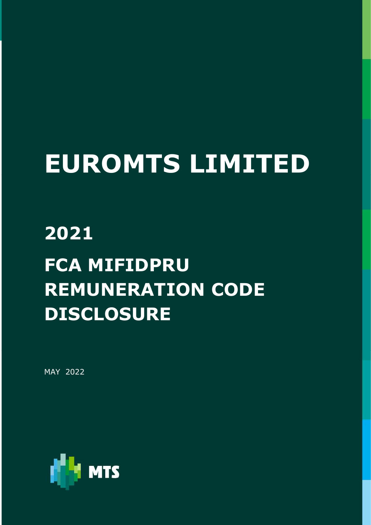# EUROMTS LIMITED

## 2021 FCA MIFIDPRU REMUNERATION CODE DISCLOSURE

MAY 2022

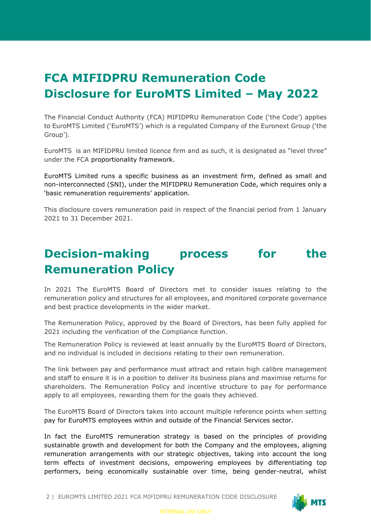### FCA MIFIDPRU Remuneration Code Disclosure for EuroMTS Limited – May 2022

The Financial Conduct Authority (FCA) MIFIDPRU Remuneration Code ('the Code') applies to EuroMTS Limited ('EuroMTS') which is a regulated Company of the Euronext Group ('the Group').

EuroMTS is an MIFIDPRU limited licence firm and as such, it is designated as "level three" under the FCA proportionality framework.

EuroMTS Limited runs a specific business as an investment firm, defined as small and non-interconnected (SNI), under the MIFIDPRU Remuneration Code, which requires only a 'basic remuneration requirements' application.

This disclosure covers remuneration paid in respect of the financial period from 1 January 2021 to 31 December 2021.

#### Decision-making process for the Remuneration Policy

In 2021 The EuroMTS Board of Directors met to consider issues relating to the remuneration policy and structures for all employees, and monitored corporate governance and best practice developments in the wider market.

The Remuneration Policy, approved by the Board of Directors, has been fully applied for 2021 including the verification of the Compliance function.

The Remuneration Policy is reviewed at least annually by the EuroMTS Board of Directors, and no individual is included in decisions relating to their own remuneration.

The link between pay and performance must attract and retain high calibre management and staff to ensure it is in a position to deliver its business plans and maximise returns for shareholders. The Remuneration Policy and incentive structure to pay for performance apply to all employees, rewarding them for the goals they achieved.

The EuroMTS Board of Directors takes into account multiple reference points when setting pay for EuroMTS employees within and outside of the Financial Services sector.

In fact the EuroMTS remuneration strategy is based on the principles of providing sustainable growth and development for both the Company and the employees, aligning remuneration arrangements with our strategic objectives, taking into account the long term effects of investment decisions, empowering employees by differentiating top performers, being economically sustainable over time, being gender-neutral, whilst

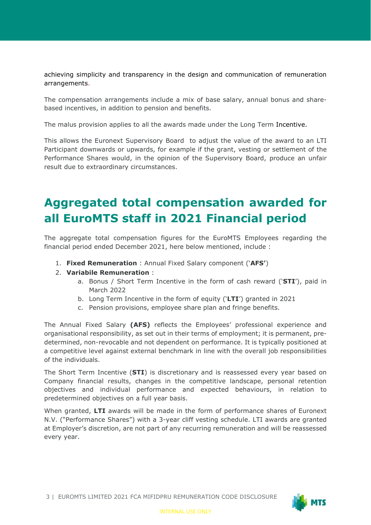achieving simplicity and transparency in the design and communication of remuneration arrangements.

The compensation arrangements include a mix of base salary, annual bonus and sharebased incentives, in addition to pension and benefits.

The malus provision applies to all the awards made under the Long Term Incentive.

This allows the Euronext Supervisory Board to adjust the value of the award to an LTI Participant downwards or upwards, for example if the grant, vesting or settlement of the Performance Shares would, in the opinion of the Supervisory Board, produce an unfair result due to extraordinary circumstances.

## Aggregated total compensation awarded for all EuroMTS staff in 2021 Financial period

The aggregate total compensation figures for the EuroMTS Employees regarding the financial period ended December 2021, here below mentioned, include :

- 1. Fixed Remuneration : Annual Fixed Salary component ('AFS')
- 2. Variabile Remuneration :
	- a. Bonus / Short Term Incentive in the form of cash reward (' $STI'$ ), paid in March 2022
	- b. Long Term Incentive in the form of equity ('LTI') granted in 2021
	- c. Pension provisions, employee share plan and fringe benefits.

The Annual Fixed Salary (AFS) reflects the Employees' professional experience and organisational responsibility, as set out in their terms of employment; it is permanent, predetermined, non-revocable and not dependent on performance. It is typically positioned at a competitive level against external benchmark in line with the overall job responsibilities of the individuals.

The Short Term Incentive (STI) is discretionary and is reassessed every year based on Company financial results, changes in the competitive landscape, personal retention objectives and individual performance and expected behaviours, in relation to predetermined objectives on a full year basis.

When granted, LTI awards will be made in the form of performance shares of Euronext N.V. ("Performance Shares") with a 3-year cliff vesting schedule. LTI awards are granted at Employer's discretion, are not part of any recurring remuneration and will be reassessed every year.

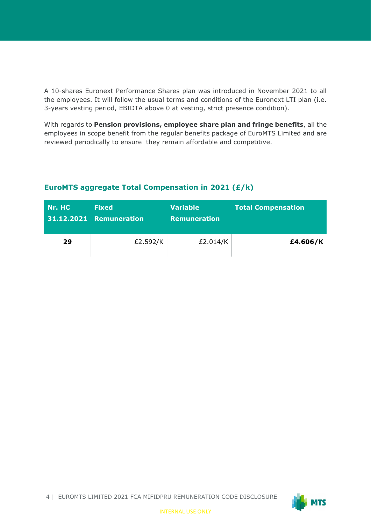A 10-shares Euronext Performance Shares plan was introduced in November 2021 to all the employees. It will follow the usual terms and conditions of the Euronext LTI plan (i.e. 3-years vesting period, EBIDTA above 0 at vesting, strict presence condition).

With regards to Pension provisions, employee share plan and fringe benefits, all the employees in scope benefit from the regular benefits package of EuroMTS Limited and are reviewed periodically to ensure they remain affordable and competitive.

| Nr. HC | <b>Fixed</b><br>31.12.2021 Remuneration | <b>Variable</b><br><b>Remuneration</b> | <b>Total Compensation</b> |
|--------|-----------------------------------------|----------------------------------------|---------------------------|
| 29     | £2.592/K                                | £2.014/K                               | £4.606/K                  |

#### EuroMTS aggregate Total Compensation in 2021 (£/k)

4 | EUROMTS LIMITED 2021 FCA MIFIDPRU REMUNERATION CODE DISCLOSURE

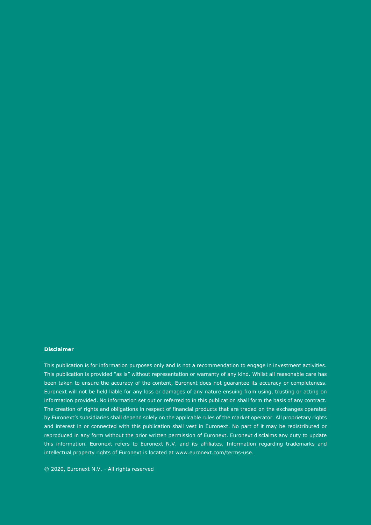#### Disclaimer

This publication is for information purposes only and is not a recommendation to engage in investment activities. This publication is provided "as is" without representation or warranty of any kind. Whilst all reasonable care has been taken to ensure the accuracy of the content, Euronext does not guarantee its accuracy or completeness. Euronext will not be held liable for any loss or damages of any nature ensuing from using, trusting or acting on information provided. No information set out or referred to in this publication shall form the basis of any contract. The creation of rights and obligations in respect of financial products that are traded on the exchanges operated by Euronext's subsidiaries shall depend solely on the applicable rules of the market operator. All proprietary rights and interest in or connected with this publication shall vest in Euronext. No part of it may be redistributed or reproduced in any form without the prior written permission of Euronext. Euronext disclaims any duty to update this information. Euronext refers to Euronext N.V. and its affiliates. Information regarding trademarks and intellectual property rights of Euronext is located at www.euronext.com/terms-use.

© 2020, Euronext N.V. - All rights reserved